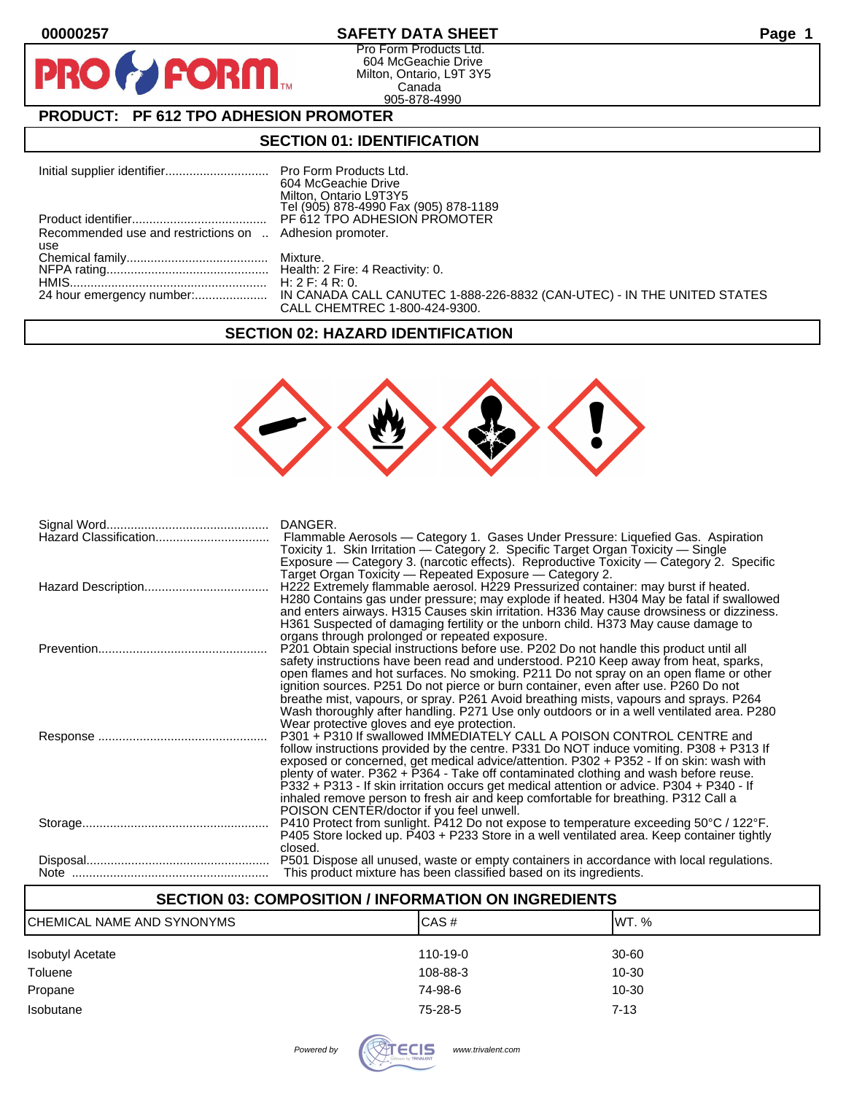$\mathbf O$ 

PR

## **00000257 SAFETY DATA SHEET Page 1**

Pro Form Products Ltd. 604 McGeachie Drive Milton, Ontario, L9T 3Y5 Canada 905-878-4990

# **PRODUCT: PF 612 TPO ADHESION PROMOTER**

**FORM** 

### **SECTION 01: IDENTIFICATION**

|                                                         | 604 McGeachie Drive                   |
|---------------------------------------------------------|---------------------------------------|
|                                                         | Milton, Ontario L9T3Y5                |
|                                                         | Tel (905) 878-4990 Fax (905) 878-1189 |
|                                                         |                                       |
| Recommended use and restrictions on  Adhesion promoter. |                                       |
| use                                                     |                                       |
|                                                         |                                       |
|                                                         |                                       |
|                                                         |                                       |
|                                                         |                                       |
|                                                         | CALL CHEMTREC 1-800-424-9300.         |

## **SECTION 02: HAZARD IDENTIFICATION**



| DANGER.<br>Flammable Aerosols - Category 1. Gases Under Pressure: Liquefied Gas. Aspiration<br>Toxicity 1. Skin Irritation — Category 2. Specific Target Organ Toxicity — Single                                                                                                                                                                                                                                                                                                                                                                                                                                                                                                                                                                                                                                                                                     |
|----------------------------------------------------------------------------------------------------------------------------------------------------------------------------------------------------------------------------------------------------------------------------------------------------------------------------------------------------------------------------------------------------------------------------------------------------------------------------------------------------------------------------------------------------------------------------------------------------------------------------------------------------------------------------------------------------------------------------------------------------------------------------------------------------------------------------------------------------------------------|
| Exposure — Category 3. (narcotic effects). Reproductive Toxicity — Category 2. Specific<br>Target Organ Toxicity — Repeated Exposure — Category 2.<br>H222 Extremely flammable aerosol. H229 Pressurized container: may burst if heated.<br>H280 Contains gas under pressure; may explode if heated. H304 May be fatal if swallowed<br>and enters airways. H315 Causes skin irritation. H336 May cause drowsiness or dizziness.<br>H361 Suspected of damaging fertility or the unborn child. H373 May cause damage to                                                                                                                                                                                                                                                                                                                                                |
| organs through prolonged or repeated exposure.<br>P201 Obtain special instructions before use. P202 Do not handle this product until all<br>safety instructions have been read and understood. P210 Keep away from heat, sparks,                                                                                                                                                                                                                                                                                                                                                                                                                                                                                                                                                                                                                                     |
| open flames and hot surfaces. No smoking. P211 Do not spray on an open flame or other<br>ignition sources. P251 Do not pierce or burn container, even after use. P260 Do not<br>breathe mist, vapours, or spray. P261 Avoid breathing mists, vapours and sprays. P264<br>Wash thoroughly after handling. P271 Use only outdoors or in a well ventilated area. P280<br>Wear protective gloves and eye protection.<br>P301 + P310 If swallowed IMMEDIATELY CALL A POISON CONTROL CENTRE and<br>follow instructions provided by the centre. P331 Do NOT induce vomiting. P308 + P313 If<br>exposed or concerned, get medical advice/attention. P302 + P352 - If on skin: wash with<br>plenty of water. P362 + P364 - Take off contaminated clothing and wash before reuse.<br>P332 + P313 - If skin irritation occurs get medical attention or advice. P304 + P340 - If |
| inhaled remove person to fresh air and keep comfortable for breathing. P312 Call a<br>POISON CENTER/doctor if you feel unwell.<br>P410 Protect from sunlight. P412 Do not expose to temperature exceeding 50°C / 122°F.<br>P405 Store locked up. P403 + P233 Store in a well ventilated area. Keep container tightly<br>closed.                                                                                                                                                                                                                                                                                                                                                                                                                                                                                                                                      |
| P501 Dispose all unused, waste or empty containers in accordance with local regulations.<br>This product mixture has been classified based on its ingredients.                                                                                                                                                                                                                                                                                                                                                                                                                                                                                                                                                                                                                                                                                                       |

| <b>SECTION 03: COMPOSITION / INFORMATION ON INGREDIENTS</b> |           |  |
|-------------------------------------------------------------|-----------|--|
| ICAS#                                                       | IWT. %    |  |
| 110-19-0                                                    | 30-60     |  |
| 108-88-3                                                    | 10-30     |  |
| 74-98-6                                                     | $10 - 30$ |  |
| 75-28-5                                                     | $7 - 13$  |  |
|                                                             |           |  |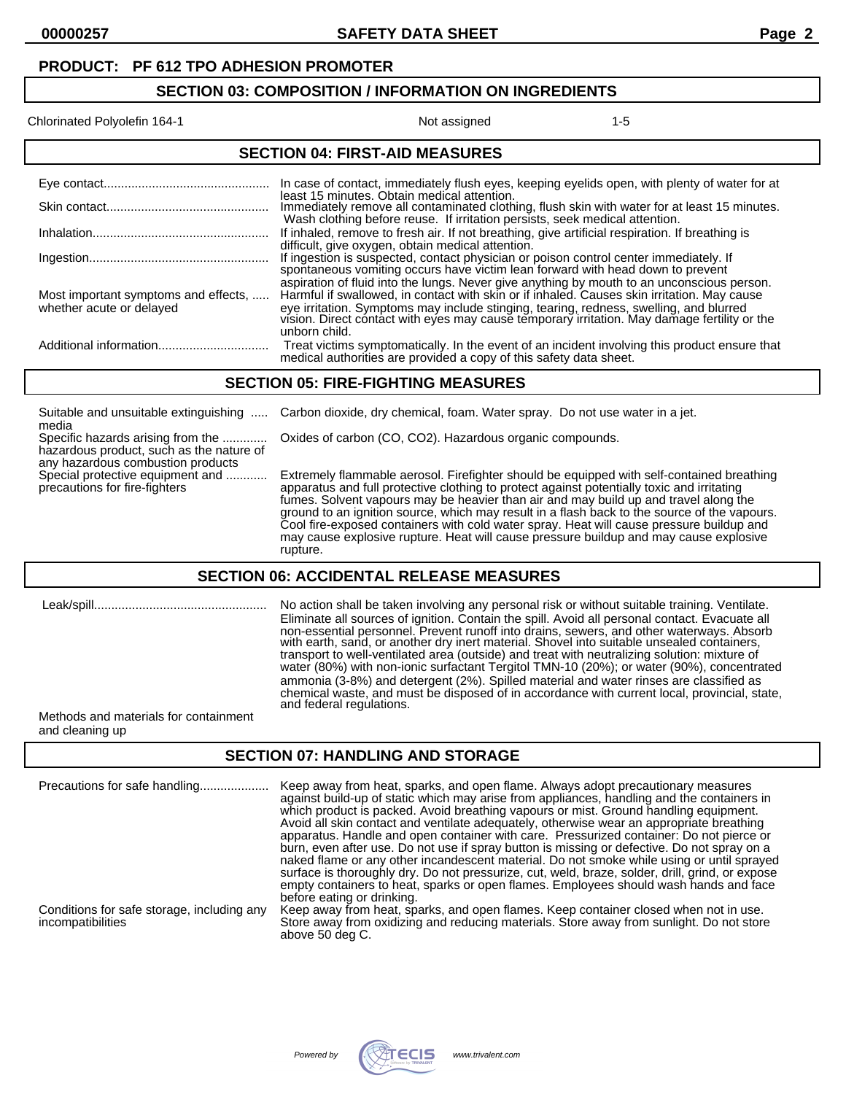#### **PRODUCT: PF 612 TPO ADHESION PROMOTER**

#### **SECTION 03: COMPOSITION / INFORMATION ON INGREDIENTS**

#### Chlorinated Polyolefin 164-1 15

| <b>SECTION 04: FIRST-AID MEASURES</b> |                                                                                                                                                                                     |  |
|---------------------------------------|-------------------------------------------------------------------------------------------------------------------------------------------------------------------------------------|--|
|                                       |                                                                                                                                                                                     |  |
|                                       | In case of contact, immediately flush eyes, keeping eyelids open, with plenty of water for at<br>least 15 minutes. Obtain medical attention.                                        |  |
|                                       | Immediately remove all contaminated clothing, flush skin with water for at least 15 minutes.                                                                                        |  |
|                                       | Wash clothing before reuse. If irritation persists, seek medical attention.                                                                                                         |  |
|                                       | If inhaled, remove to fresh air. If not breathing, give artificial respiration. If breathing is                                                                                     |  |
|                                       | difficult, give oxygen, obtain medical attention.                                                                                                                                   |  |
|                                       | If ingestion is suspected, contact physician or poison control center immediately. If<br>spontaneous vomiting occurs have victim lean forward with head down to prevent             |  |
|                                       | aspiration of fluid into the lungs. Never give anything by mouth to an unconscious person.                                                                                          |  |
| Most important symptoms and effects,  | Harmful if swallowed, in contact with skin or if inhaled. Causes skin irritation. May cause                                                                                         |  |
| whether acute or delayed              | eye irritation. Symptoms may include stinging, tearing, redness, swelling, and blurred vision. Direct contact with eyes may cause temporary irritation. May damage fertility or the |  |
|                                       | unborn child.                                                                                                                                                                       |  |
| Additional information                | Treat victims symptomatically. In the event of an incident involving this product ensure that<br>medical authorities are provided a copy of this safety data sheet.                 |  |

#### **SECTION 05: FIRE-FIGHTING MEASURES**

| Suitable and unsuitable extinguishing<br>media                                                                     | Carbon dioxide, dry chemical, foam. Water spray. Do not use water in a jet.                                                                                                                                                                                                                                                                                                                                                                                                                                                                                                      |
|--------------------------------------------------------------------------------------------------------------------|----------------------------------------------------------------------------------------------------------------------------------------------------------------------------------------------------------------------------------------------------------------------------------------------------------------------------------------------------------------------------------------------------------------------------------------------------------------------------------------------------------------------------------------------------------------------------------|
| Specific hazards arising from the<br>hazardous product, such as the nature of<br>any hazardous combustion products | Oxides of carbon (CO, CO2). Hazardous organic compounds.                                                                                                                                                                                                                                                                                                                                                                                                                                                                                                                         |
| Special protective equipment and<br>precautions for fire-fighters                                                  | Extremely flammable aerosol. Firefighter should be equipped with self-contained breathing<br>apparatus and full protective clothing to protect against potentially toxic and irritating<br>fumes. Solvent vapours may be heavier than air and may build up and travel along the<br>ground to an ignition source, which may result in a flash back to the source of the vapours.<br>Cool fire-exposed containers with cold water spray. Heat will cause pressure buildup and<br>may cause explosive rupture. Heat will cause pressure buildup and may cause explosive<br>rupture. |

#### **SECTION 06: ACCIDENTAL RELEASE MEASURES**

 Leak/spill.................................................. No action shall be taken involving any personal risk or without suitable training. Ventilate. Eliminate all sources of ignition. Contain the spill. Avoid all personal contact. Evacuate all non-essential personnel. Prevent runoff into drains, sewers, and other waterways. Absorb with earth, sand, or another dry inert material. Shovel into suitable unsealed containers, transport to well-ventilated area (outside) and treat with neutralizing solution: mixture of water (80%) with non-ionic surfactant Tergitol TMN-10 (20%); or water (90%), concentrated ammonia (3-8%) and detergent (2%). Spilled material and water rinses are classified as chemical waste, and must be disposed of in accordance with current local, provincial, state, and federal regulations.

Methods and materials for containment and cleaning up

#### **SECTION 07: HANDLING AND STORAGE**

| Precautions for safe handling                                   | Keep away from heat, sparks, and open flame. Always adopt precautionary measures<br>against build-up of static which may arise from appliances, handling and the containers in<br>which product is packed. Avoid breathing vapours or mist. Ground handling equipment.<br>Avoid all skin contact and ventilate adequately, otherwise wear an appropriate breathing<br>apparatus. Handle and open container with care. Pressurized container: Do not pierce or<br>burn, even after use. Do not use if spray button is missing or defective. Do not spray on a<br>naked flame or any other incandescent material. Do not smoke while using or until sprayed<br>surface is thoroughly dry. Do not pressurize, cut, weld, braze, solder, drill, grind, or expose<br>empty containers to heat, sparks or open flames. Employees should wash hands and face<br>before eating or drinking. |
|-----------------------------------------------------------------|-------------------------------------------------------------------------------------------------------------------------------------------------------------------------------------------------------------------------------------------------------------------------------------------------------------------------------------------------------------------------------------------------------------------------------------------------------------------------------------------------------------------------------------------------------------------------------------------------------------------------------------------------------------------------------------------------------------------------------------------------------------------------------------------------------------------------------------------------------------------------------------|
| Conditions for safe storage, including any<br>incompatibilities | Keep away from heat, sparks, and open flames. Keep container closed when not in use.<br>Store away from oxidizing and reducing materials. Store away from sunlight. Do not store<br>above 50 deg C.                                                                                                                                                                                                                                                                                                                                                                                                                                                                                                                                                                                                                                                                                 |

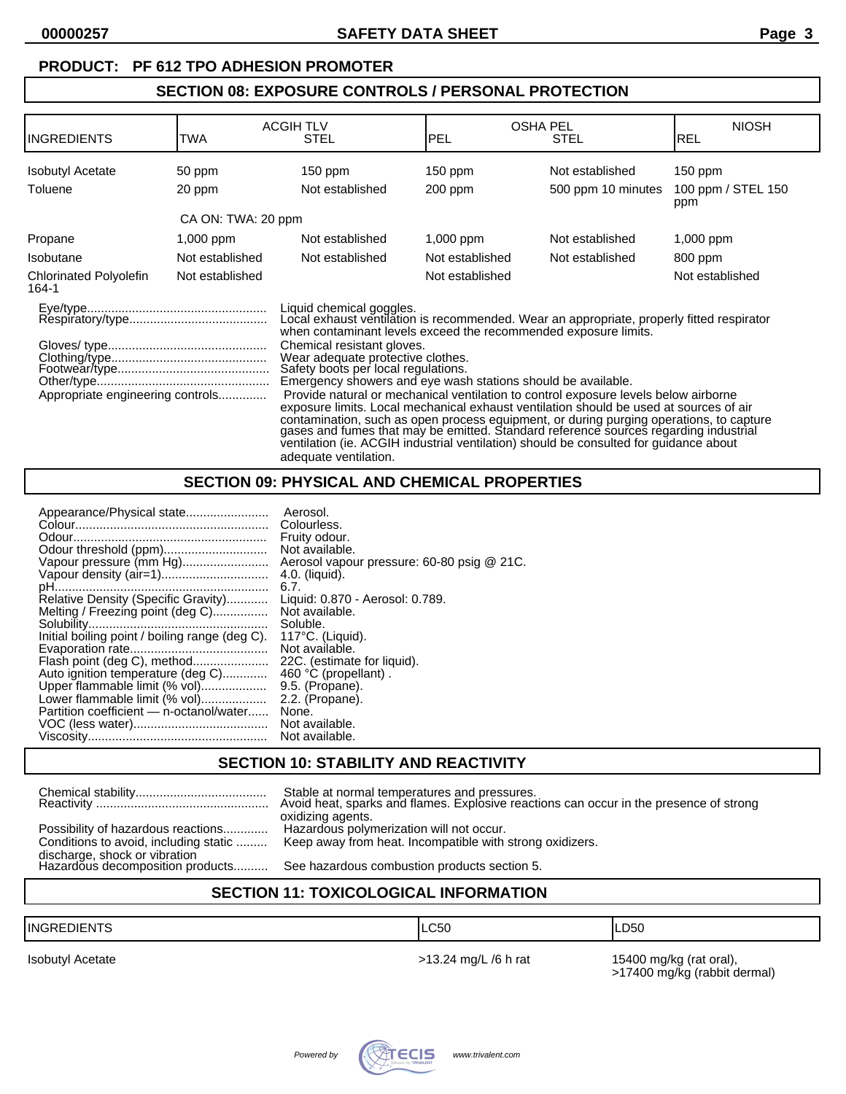### **PRODUCT: PF 612 TPO ADHESION PROMOTER**

### **SECTION 08: EXPOSURE CONTROLS / PERSONAL PROTECTION**

| <b>INGREDIENTS</b>                     | <b>TWA</b>         | <b>ACGIH TLV</b><br><b>STEL</b>                                                                                                                                                                                                                                                                                                                                                                                                                                                                                                                                                                                                                                                                                                                                                                                                                       | PEL             | <b>OSHA PEL</b><br><b>STEL</b> | <b>NIOSH</b><br>IREL      |
|----------------------------------------|--------------------|-------------------------------------------------------------------------------------------------------------------------------------------------------------------------------------------------------------------------------------------------------------------------------------------------------------------------------------------------------------------------------------------------------------------------------------------------------------------------------------------------------------------------------------------------------------------------------------------------------------------------------------------------------------------------------------------------------------------------------------------------------------------------------------------------------------------------------------------------------|-----------------|--------------------------------|---------------------------|
| <b>Isobutyl Acetate</b>                | 50 ppm             | $150$ ppm                                                                                                                                                                                                                                                                                                                                                                                                                                                                                                                                                                                                                                                                                                                                                                                                                                             | $150$ ppm       | Not established                | $150$ ppm                 |
| Toluene                                | 20 ppm             | Not established                                                                                                                                                                                                                                                                                                                                                                                                                                                                                                                                                                                                                                                                                                                                                                                                                                       | $200$ ppm       | 500 ppm 10 minutes             | 100 ppm / STEL 150<br>ppm |
|                                        | CA ON: TWA: 20 ppm |                                                                                                                                                                                                                                                                                                                                                                                                                                                                                                                                                                                                                                                                                                                                                                                                                                                       |                 |                                |                           |
| Propane                                | $1,000$ ppm        | Not established                                                                                                                                                                                                                                                                                                                                                                                                                                                                                                                                                                                                                                                                                                                                                                                                                                       | $1,000$ ppm     | Not established                | $1,000$ ppm               |
| <b>Isobutane</b>                       | Not established    | Not established                                                                                                                                                                                                                                                                                                                                                                                                                                                                                                                                                                                                                                                                                                                                                                                                                                       | Not established | Not established                | 800 ppm                   |
| <b>Chlorinated Polyolefin</b><br>164-1 | Not established    |                                                                                                                                                                                                                                                                                                                                                                                                                                                                                                                                                                                                                                                                                                                                                                                                                                                       | Not established |                                | Not established           |
| Appropriate engineering controls       |                    | Liquid chemical goggles.<br>Local exhaust ventilation is recommended. Wear an appropriate, properly fitted respirator<br>when contaminant levels exceed the recommended exposure limits.<br>Chemical resistant gloves.<br>Wear adequate protective clothes.<br>Safety boots per local regulations.<br>Emergency showers and eye wash stations should be available.<br>Provide natural or mechanical ventilation to control exposure levels below airborne<br>exposure limits. Local mechanical exhaust ventilation should be used at sources of air<br>contamination, such as open process equipment, or during purging operations, to capture gases and fumes that may be emitted. Standard reference sources regarding industrial<br>ventilation (ie. ACGIH industrial ventilation) should be consulted for guidance about<br>adequate ventilation. |                 |                                |                           |

## **SECTION 09: PHYSICAL AND CHEMICAL PROPERTIES**

| Appearance/Physical state                      | Aerosol.                                   |
|------------------------------------------------|--------------------------------------------|
|                                                | Colourless.                                |
|                                                | Fruity odour.                              |
| Odour threshold (ppm)                          | Not available.                             |
| Vapour pressure (mm Hg)                        | Aerosol vapour pressure: 60-80 psig @ 21C. |
| Vapour density (air=1)                         | 4.0. (liquid).                             |
|                                                | 6.7.                                       |
| Relative Density (Specific Gravity)            | Liquid: 0.870 - Aerosol: 0.789.            |
| Melting / Freezing point (deg C)               | Not available.                             |
|                                                | Soluble.                                   |
| Initial boiling point / boiling range (deg C). | $117^{\circ}$ C. (Liguid).                 |
|                                                | Not available.                             |
| Flash point (deg C), method                    | 22C. (estimate for liquid).                |
| Auto ignition temperature (deg C)              | 460 °C (propellant).                       |
| Upper flammable limit (% vol)                  | 9.5. (Propane).                            |
| Lower flammable limit (% vol)                  | 2.2. (Propane).                            |
| Partition coefficient - n-octanol/water        | None.                                      |
|                                                | Not available.                             |
|                                                | Not available.                             |
|                                                |                                            |

### **SECTION 10: STABILITY AND REACTIVITY**

|                                                                   | Stable at normal temperatures and pressures.<br>Avoid heat, sparks and flames. Explosive reactions can occur in the presence of strong<br>oxidizing agents. |
|-------------------------------------------------------------------|-------------------------------------------------------------------------------------------------------------------------------------------------------------|
| Possibility of hazardous reactions                                | Hazardous polymerization will not occur.                                                                                                                    |
| Conditions to avoid, including static                             | Keep away from heat. Incompatible with strong oxidizers.                                                                                                    |
| discharge, shock or vibration<br>Hazardous decomposition products | See hazardous combustion products section 5.                                                                                                                |

## **SECTION 11: TOXICOLOGICAL INFORMATION**

| <b>IINGF</b><br>DIENT | .C <sub>50</sub> | _D50 |
|-----------------------|------------------|------|
|                       |                  |      |

Isobutyl Acetate **15400 mg/kg (rat oral)**,  $\geq$ 13.24 mg/L /6 h rat 15400 mg/kg (rat oral), >17400 mg/kg (rabbit dermal)

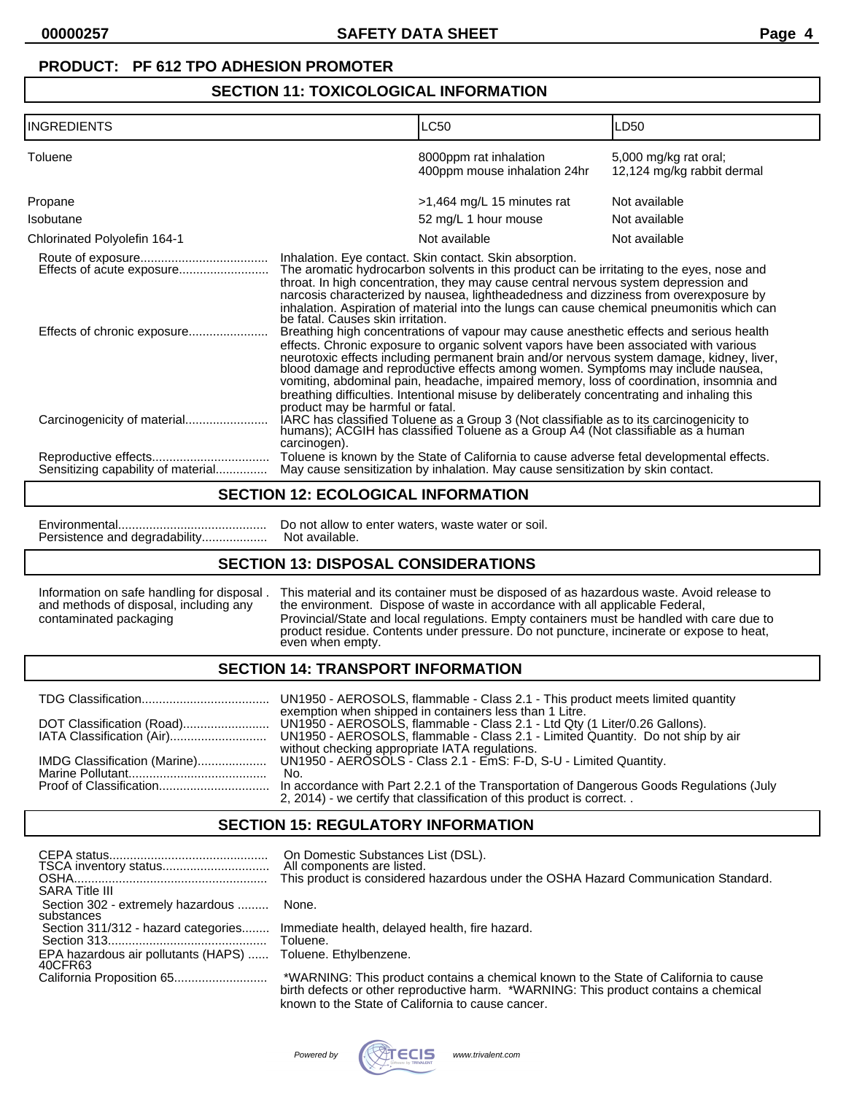# **PRODUCT: PF 612 TPO ADHESION PROMOTER**

# **SECTION 11: TOXICOLOGICAL INFORMATION**

| <b>INGREDIENTS</b>                 |                                                  | LC50                                                                                                                                                                                                                                                                                                                                                                                                                                                                                                                                                                                                                                                                                                                                                                                                                                                                                                                                                                                           | LD50                                                |
|------------------------------------|--------------------------------------------------|------------------------------------------------------------------------------------------------------------------------------------------------------------------------------------------------------------------------------------------------------------------------------------------------------------------------------------------------------------------------------------------------------------------------------------------------------------------------------------------------------------------------------------------------------------------------------------------------------------------------------------------------------------------------------------------------------------------------------------------------------------------------------------------------------------------------------------------------------------------------------------------------------------------------------------------------------------------------------------------------|-----------------------------------------------------|
| Toluene                            |                                                  | 8000ppm rat inhalation<br>400ppm mouse inhalation 24hr                                                                                                                                                                                                                                                                                                                                                                                                                                                                                                                                                                                                                                                                                                                                                                                                                                                                                                                                         | 5,000 mg/kg rat oral;<br>12,124 mg/kg rabbit dermal |
| Propane                            |                                                  | $>1,464$ mg/L 15 minutes rat                                                                                                                                                                                                                                                                                                                                                                                                                                                                                                                                                                                                                                                                                                                                                                                                                                                                                                                                                                   | Not available                                       |
| Isobutane                          |                                                  | 52 mg/L 1 hour mouse                                                                                                                                                                                                                                                                                                                                                                                                                                                                                                                                                                                                                                                                                                                                                                                                                                                                                                                                                                           | Not available                                       |
| Chlorinated Polyolefin 164-1       |                                                  | Not available                                                                                                                                                                                                                                                                                                                                                                                                                                                                                                                                                                                                                                                                                                                                                                                                                                                                                                                                                                                  | Not available                                       |
|                                    | be fatal. Causes skin irritation.                | Inhalation. Eye contact. Skin contact. Skin absorption.<br>The aromatic hydrocarbon solvents in this product can be irritating to the eyes, nose and<br>throat. In high concentration, they may cause central nervous system depression and<br>narcosis characterized by nausea, lightheadedness and dizziness from overexposure by<br>inhalation. Aspiration of material into the lungs can cause chemical pneumonitis which can<br>Breathing high concentrations of vapour may cause anesthetic effects and serious health<br>effects. Chronic exposure to organic solvent vapors have been associated with various<br>neurotoxic effects including permanent brain and/or nervous system damage, kidney, liver,<br>blood damage and reproductive effects among women. Symptoms may include nausea,<br>vomiting, abdominal pain, headache, impaired memory, loss of coordination, insomnia and<br>breathing difficulties. Intentional misuse by deliberately concentrating and inhaling this |                                                     |
| Carcinogenicity of material        | product may be harmful or fatal.<br>carcinogen). | IARC has classified Toluene as a Group 3 (Not classifiable as to its carcinogenicity to humans); ACGIH has classified Toluene as a Group A4 (Not classifiable as a human                                                                                                                                                                                                                                                                                                                                                                                                                                                                                                                                                                                                                                                                                                                                                                                                                       |                                                     |
| Sensitizing capability of material |                                                  | Toluene is known by the State of California to cause adverse fetal developmental effects.<br>May cause sensitization by inhalation. May cause sensitization by skin contact.                                                                                                                                                                                                                                                                                                                                                                                                                                                                                                                                                                                                                                                                                                                                                                                                                   |                                                     |

### **SECTION 12: ECOLOGICAL INFORMATION**

| Do not allow to enter waters, waste water or soil. |
|----------------------------------------------------|
|                                                    |

## **SECTION 13: DISPOSAL CONSIDERATIONS**

Information on safe handling for disposal . This material and its container must be disposed of as hazardous waste. Avoid release to and methods of disposal, including any the environment. Dispose of waste in accordance wi and methods of disposal, including any the environment. Dispose of waste in accordance with all applicable Federal, contaminated packaging Provincial/State and local regulations. Empty containers must be handled with contaminated packaging Provincial/State and local regulations. Empty containers must be handled with care due to product residue. Contents under pressure. Do not puncture, incinerate or expose to heat, even when empty.

### **SECTION 14: TRANSPORT INFORMATION**

|                              | exemption when shipped in containers less than 1 Litre.                                                                                                          |
|------------------------------|------------------------------------------------------------------------------------------------------------------------------------------------------------------|
| DOT Classification (Road)    | UN1950 - AEROSOLS, flammable - Class 2.1 - Ltd Qty (1 Liter/0.26 Gallons).                                                                                       |
| IATA Classification (Air)    | UN1950 - AEROSOLS, flammable - Class 2.1 - Limited Quantity. Do not ship by air                                                                                  |
|                              | without checking appropriate IATA regulations.                                                                                                                   |
| IMDG Classification (Marine) | UN1950 - AEROSOLS - Class 2.1 - EmS: F-D, S-U - Limited Quantity.                                                                                                |
|                              | No.                                                                                                                                                              |
|                              | In accordance with Part 2.2.1 of the Transportation of Dangerous Goods Regulations (July<br>2, 2014) - we certify that classification of this product is correct |

# **SECTION 15: REGULATORY INFORMATION**

| <b>SARA Title III</b>                           | On Domestic Substances List (DSL).<br>All components are listed.<br>This product is considered hazardous under the OSHA Hazard Communication Standard.                       |
|-------------------------------------------------|------------------------------------------------------------------------------------------------------------------------------------------------------------------------------|
| Section 302 - extremely hazardous<br>substances | None.                                                                                                                                                                        |
| Section 311/312 - hazard categories             | Immediate health, delayed health, fire hazard.<br>Toluene.                                                                                                                   |
| EPA hazardous air pollutants (HAPS)<br>40CFR63  | Toluene. Ethylbenzene.                                                                                                                                                       |
|                                                 | *WARNING: This product contains a chemical known to the State of California to cause<br>birth defects or other reproductive harm. *WARNING: This product contains a chemical |



known to the State of California to cause cancer.